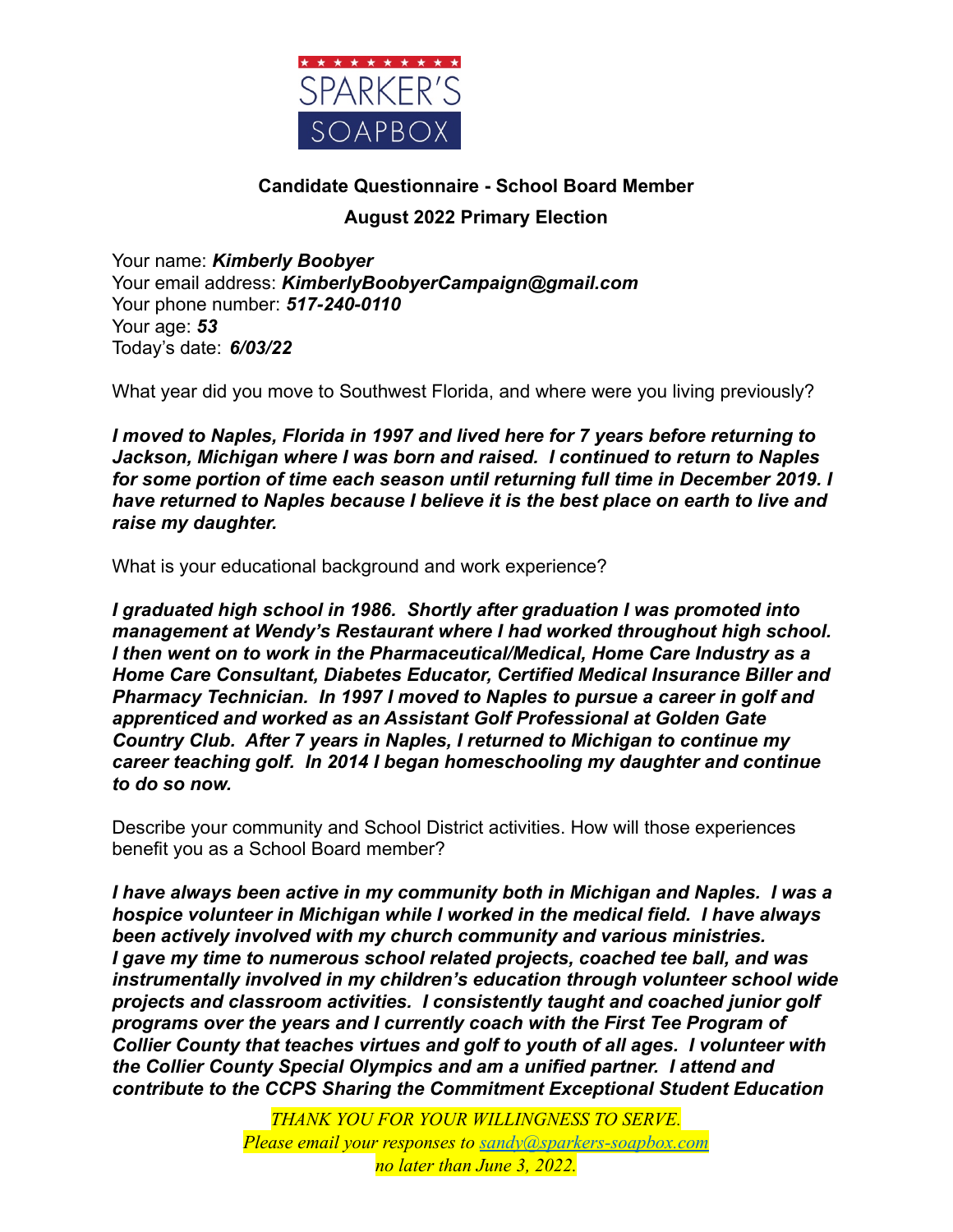

## **Candidate Questionnaire - School Board Member August 2022 Primary Election**

Your name: *Kimberly Boobyer* Your email address: *KimberlyBoobyerCampaign@gmail.com* Your phone number: *517-240-0110* Your age: *53* Today's date: *6/03/22*

What year did you move to Southwest Florida, and where were you living previously?

*I moved to Naples, Florida in 1997 and lived here for 7 years before returning to Jackson, Michigan where I was born and raised. I continued to return to Naples for some portion of time each season until returning full time in December 2019. I have returned to Naples because I believe it is the best place on earth to live and raise my daughter.*

What is your educational background and work experience?

*I graduated high school in 1986. Shortly after graduation I was promoted into management at Wendy's Restaurant where I had worked throughout high school. I then went on to work in the Pharmaceutical/Medical, Home Care Industry as a Home Care Consultant, Diabetes Educator, Certified Medical Insurance Biller and Pharmacy Technician. In 1997 I moved to Naples to pursue a career in golf and apprenticed and worked as an Assistant Golf Professional at Golden Gate Country Club. After 7 years in Naples, I returned to Michigan to continue my career teaching golf. In 2014 I began homeschooling my daughter and continue to do so now.* 

Describe your community and School District activities. How will those experiences benefit you as a School Board member?

*I have always been active in my community both in Michigan and Naples. I was a hospice volunteer in Michigan while I worked in the medical field. I have always been actively involved with my church community and various ministries. I gave my time to numerous school related projects, coached tee ball, and was instrumentally involved in my children's education through volunteer school wide projects and classroom activities. I consistently taught and coached junior golf programs over the years and I currently coach with the First Tee Program of Collier County that teaches virtues and golf to youth of all ages. I volunteer with the Collier County Special Olympics and am a unified partner. I attend and contribute to the CCPS Sharing the Commitment Exceptional Student Education* 

> *THANK YOU FOR YOUR WILLINGNESS TO SERVE. Please email your responses to sandy@sparkers-soapbox.com no later than June 3, 2022.*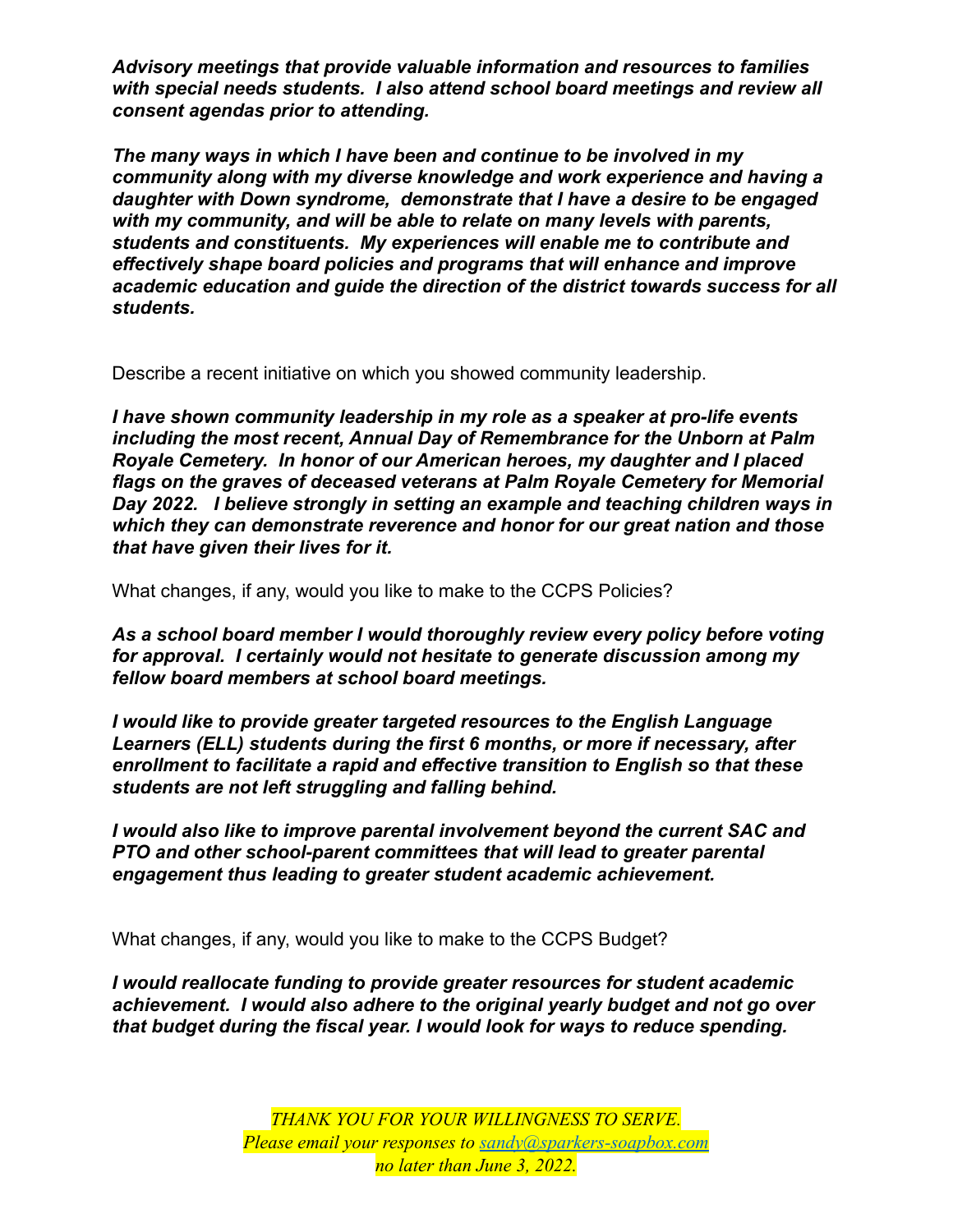*Advisory meetings that provide valuable information and resources to families with special needs students. I also attend school board meetings and review all consent agendas prior to attending.* 

*The many ways in which I have been and continue to be involved in my community along with my diverse knowledge and work experience and having a daughter with Down syndrome, demonstrate that I have a desire to be engaged with my community, and will be able to relate on many levels with parents, students and constituents. My experiences will enable me to contribute and effectively shape board policies and programs that will enhance and improve academic education and guide the direction of the district towards success for all students.* 

Describe a recent initiative on which you showed community leadership.

*I have shown community leadership in my role as a speaker at pro-life events including the most recent, Annual Day of Remembrance for the Unborn at Palm Royale Cemetery. In honor of our American heroes, my daughter and I placed flags on the graves of deceased veterans at Palm Royale Cemetery for Memorial Day 2022. I believe strongly in setting an example and teaching children ways in which they can demonstrate reverence and honor for our great nation and those that have given their lives for it.* 

What changes, if any, would you like to make to the CCPS Policies?

*As a school board member I would thoroughly review every policy before voting for approval. I certainly would not hesitate to generate discussion among my fellow board members at school board meetings.* 

*I would like to provide greater targeted resources to the English Language Learners (ELL) students during the first 6 months, or more if necessary, after enrollment to facilitate a rapid and effective transition to English so that these students are not left struggling and falling behind.*

*I would also like to improve parental involvement beyond the current SAC and PTO and other school-parent committees that will lead to greater parental engagement thus leading to greater student academic achievement.* 

What changes, if any, would you like to make to the CCPS Budget?

*I would reallocate funding to provide greater resources for student academic achievement. I would also adhere to the original yearly budget and not go over that budget during the fiscal year. I would look for ways to reduce spending.*